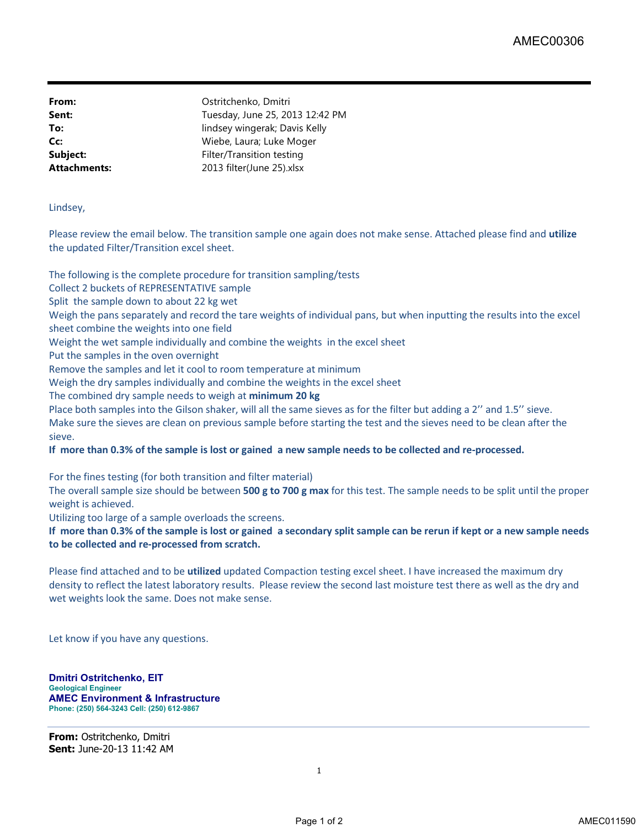**From:** Ostritchenko, Dmitri **Sent:** Tuesday, June 25, 2013 12:42 PM **To:** lindsey wingerak; Davis Kelly **Cc:** Wiebe, Laura; Luke Moger **Subject:** Filter/Transition testing **Attachments:** 2013 filter(June 25).xlsx

Lindsey,

Please review the email below. The transition sample one again does not make sense. Attached please find and **utilize** the updated Filter/Transition excel sheet.

The following is the complete procedure for transition sampling/tests

Collect 2 buckets of REPRESENTATIVE sample

Split the sample down to about 22 kg wet

Weigh the pans separately and record the tare weights of individual pans, but when inputting the results into the excel sheet combine the weights into one field

Weight the wet sample individually and combine the weights in the excel sheet

Put the samples in the oven overnight

Remove the samples and let it cool to room temperature at minimum

Weigh the dry samples individually and combine the weights in the excel sheet

The combined dry sample needs to weigh at **minimum 20 kg**

Place both samples into the Gilson shaker, will all the same sieves as for the filter but adding a 2'' and 1.5'' sieve. Make sure the sieves are clean on previous sample before starting the test and the sieves need to be clean after the sieve.

If more than 0.3% of the sample is lost or gained a new sample needs to be collected and re-processed.

For the fines testing (for both transition and filter material)

The overall sample size should be between **500 g to 700 g max** for this test. The sample needs to be split until the proper weight is achieved.

Utilizing too large of a sample overloads the screens.

If more than 0.3% of the sample is lost or gained a secondary split sample can be rerun if kept or a new sample needs **to be collected and re-processed from scratch.**

Please find attached and to be **utilized** updated Compaction testing excel sheet. I have increased the maximum dry density to reflect the latest laboratory results. Please review the second last moisture test there as well as the dry and wet weights look the same. Does not make sense.

Let know if you have any questions.

**Dmitri Ostritchenko, EIT Geological Engineer AMEC Environment & Infrastructure Phone: (250) 564-3243 Cell: (250) 612-9867**

**From:** Ostritchenko, Dmitri **Sent:** June-20-13 11:42 AM